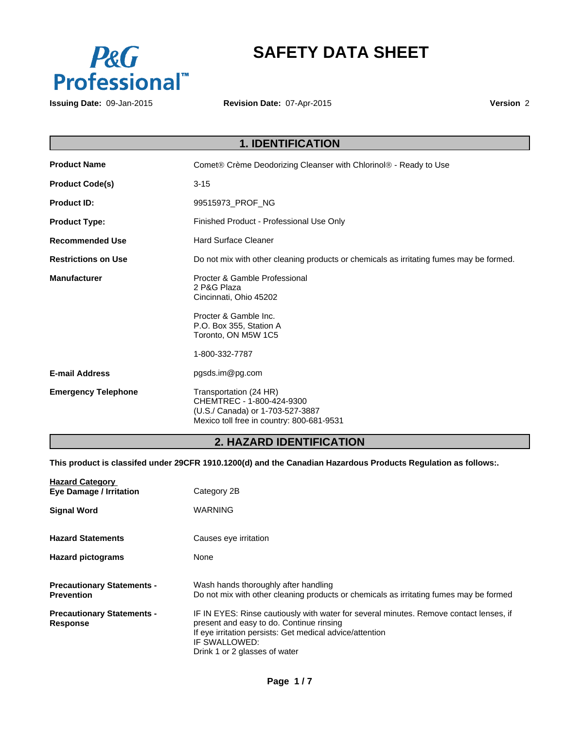

# **SAFETY DATA SHEET**

**Issuing Date:** 09-Jan-2015

**Revision Date:** 07-Apr-2015

**Version** 2

|                            | <b>1. IDENTIFICATION</b>                                                                                                             |  |  |
|----------------------------|--------------------------------------------------------------------------------------------------------------------------------------|--|--|
| <b>Product Name</b>        | Comet® Crème Deodorizing Cleanser with Chlorinol® - Ready to Use                                                                     |  |  |
| <b>Product Code(s)</b>     | $3 - 15$                                                                                                                             |  |  |
| <b>Product ID:</b>         | 99515973 PROF NG                                                                                                                     |  |  |
| <b>Product Type:</b>       | Finished Product - Professional Use Only                                                                                             |  |  |
| <b>Recommended Use</b>     | <b>Hard Surface Cleaner</b>                                                                                                          |  |  |
| <b>Restrictions on Use</b> | Do not mix with other cleaning products or chemicals as irritating fumes may be formed.                                              |  |  |
| <b>Manufacturer</b>        | Procter & Gamble Professional<br>2 P&G Plaza<br>Cincinnati, Ohio 45202                                                               |  |  |
|                            | Procter & Gamble Inc.<br>P.O. Box 355, Station A<br>Toronto, ON M5W 1C5                                                              |  |  |
|                            | 1-800-332-7787                                                                                                                       |  |  |
| <b>E-mail Address</b>      | pgsds.im@pg.com                                                                                                                      |  |  |
| <b>Emergency Telephone</b> | Transportation (24 HR)<br>CHEMTREC - 1-800-424-9300<br>(U.S./ Canada) or 1-703-527-3887<br>Mexico toll free in country: 800-681-9531 |  |  |
|                            |                                                                                                                                      |  |  |

# **2. HAZARD IDENTIFICATION**

**This product is classifed under 29CFR 1910.1200(d) and the Canadian Hazardous Products Regulation as follows:.**

| <b>Hazard Category</b><br><b>Eye Damage / Irritation</b> | Category 2B                                                                                                                                                                                                                                      |
|----------------------------------------------------------|--------------------------------------------------------------------------------------------------------------------------------------------------------------------------------------------------------------------------------------------------|
| <b>Signal Word</b>                                       | <b>WARNING</b>                                                                                                                                                                                                                                   |
| <b>Hazard Statements</b>                                 | Causes eye irritation                                                                                                                                                                                                                            |
| <b>Hazard pictograms</b>                                 | None                                                                                                                                                                                                                                             |
| <b>Precautionary Statements -</b><br><b>Prevention</b>   | Wash hands thoroughly after handling<br>Do not mix with other cleaning products or chemicals as irritating fumes may be formed                                                                                                                   |
| <b>Precautionary Statements -</b><br><b>Response</b>     | IF IN EYES: Rinse cautiously with water for several minutes. Remove contact lenses, if<br>present and easy to do. Continue rinsing<br>If eye irritation persists: Get medical advice/attention<br>IF SWALLOWED:<br>Drink 1 or 2 glasses of water |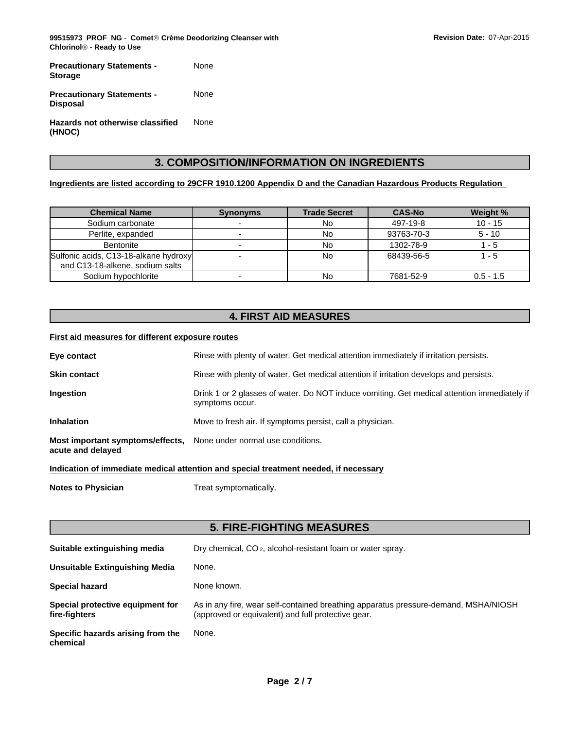**99515973\_PROF\_NG** - **CometÒCrème Deodorizing Cleanser with ChlorinolÒ - Ready to Use**

| <b>Precautionary Statements -</b><br><b>Storage</b>  | None |
|------------------------------------------------------|------|
| <b>Precautionary Statements -</b><br><b>Disposal</b> | None |
| Hazards not otherwise classified<br>(HNOC)           | None |

# **3. COMPOSITION/INFORMATION ON INGREDIENTS**

#### **Ingredients are listed according to 29CFR 1910.1200 Appendix D and the Canadian Hazardous Products Regulation**

| <b>Chemical Name</b>                                                     | <b>Synonyms</b> | <b>Trade Secret</b> | <b>CAS-No</b> | Weight %    |
|--------------------------------------------------------------------------|-----------------|---------------------|---------------|-------------|
| Sodium carbonate                                                         |                 | No                  | 497-19-8      | $10 - 15$   |
| Perlite, expanded                                                        |                 | No                  | 93763-70-3    | $5 - 10$    |
| <b>Bentonite</b>                                                         |                 | No                  | 1302-78-9     | - 5         |
| Sulfonic acids, C13-18-alkane hydroxy<br>and C13-18-alkene, sodium salts |                 | No                  | 68439-56-5    | 1 - 5       |
| Sodium hypochlorite                                                      |                 | No                  | 7681-52-9     | $0.5 - 1.5$ |

# **4. FIRST AID MEASURES**

### **First aid measures for different exposure routes**

| Eye contact                                           | Rinse with plenty of water. Get medical attention immediately if irritation persists.                          |
|-------------------------------------------------------|----------------------------------------------------------------------------------------------------------------|
| <b>Skin contact</b>                                   | Rinse with plenty of water. Get medical attention if irritation develops and persists.                         |
| Ingestion                                             | Drink 1 or 2 glasses of water. Do NOT induce vomiting. Get medical attention immediately if<br>symptoms occur. |
| <b>Inhalation</b>                                     | Move to fresh air. If symptoms persist, call a physician.                                                      |
| Most important symptoms/effects,<br>acute and delayed | None under normal use conditions.                                                                              |

**Indication of immediate medical attention and special treatment needed, if necessary**

**Notes to Physician** Treat symptomatically.

# **5. FIRE-FIGHTING MEASURES**

| Suitable extinguishing media                      | Dry chemical, CO <sub>2</sub> , alcohol-resistant foam or water spray.                                                                    |
|---------------------------------------------------|-------------------------------------------------------------------------------------------------------------------------------------------|
| Unsuitable Extinguishing Media                    | None.                                                                                                                                     |
| <b>Special hazard</b>                             | None known.                                                                                                                               |
| Special protective equipment for<br>fire-fighters | As in any fire, wear self-contained breathing apparatus pressure-demand, MSHA/NIOSH<br>(approved or equivalent) and full protective gear. |
| Specific hazards arising from the<br>chemical     | None.                                                                                                                                     |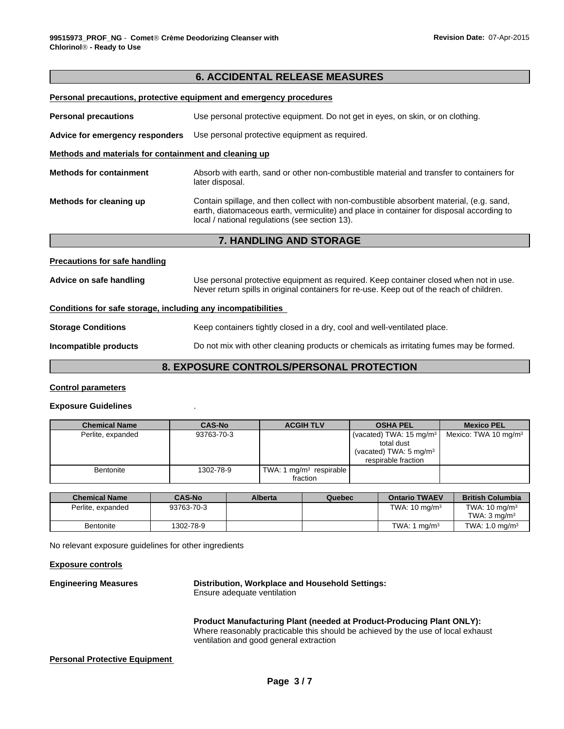## **6. ACCIDENTAL RELEASE MEASURES**

|                                                              | Personal precautions, protective equipment and emergency procedures                                                                                                                                                                   |  |  |  |  |
|--------------------------------------------------------------|---------------------------------------------------------------------------------------------------------------------------------------------------------------------------------------------------------------------------------------|--|--|--|--|
| <b>Personal precautions</b>                                  | Use personal protective equipment. Do not get in eyes, on skin, or on clothing.                                                                                                                                                       |  |  |  |  |
| Advice for emergency responders                              | Use personal protective equipment as required.                                                                                                                                                                                        |  |  |  |  |
| Methods and materials for containment and cleaning up        |                                                                                                                                                                                                                                       |  |  |  |  |
| <b>Methods for containment</b>                               | Absorb with earth, sand or other non-combustible material and transfer to containers for<br>later disposal.                                                                                                                           |  |  |  |  |
| Methods for cleaning up                                      | Contain spillage, and then collect with non-combustible absorbent material, (e.g. sand,<br>earth, diatomaceous earth, vermiculite) and place in container for disposal according to<br>local / national regulations (see section 13). |  |  |  |  |
|                                                              | <b>7. HANDLING AND STORAGE</b>                                                                                                                                                                                                        |  |  |  |  |
| <b>Precautions for safe handling</b>                         |                                                                                                                                                                                                                                       |  |  |  |  |
| Advice on safe handling                                      | Use personal protective equipment as required. Keep container closed when not in use.<br>Never return spills in original containers for re-use. Keep out of the reach of children.                                                    |  |  |  |  |
| Conditions for safe storage, including any incompatibilities |                                                                                                                                                                                                                                       |  |  |  |  |
| <b>Storage Conditions</b>                                    | Keep containers tightly closed in a dry, cool and well-ventilated place.                                                                                                                                                              |  |  |  |  |
| Incompatible products                                        | Do not mix with other cleaning products or chemicals as irritating fumes may be formed.                                                                                                                                               |  |  |  |  |
|                                                              | EVBAAURE AAUFBALA/BEBAAULL BBAFFAFIAU                                                                                                                                                                                                 |  |  |  |  |

## **8. EXPOSURE CONTROLS/PERSONAL PROTECTION**

#### **Control parameters**

#### **Exposure Guidelines** .

| <b>Chemical Name</b> | <b>CAS-No</b> | <b>ACGIH TLV</b>                    | <b>OSHA PEL</b>                    | <b>Mexico PEL</b>                |
|----------------------|---------------|-------------------------------------|------------------------------------|----------------------------------|
| Perlite, expanded    | 93763-70-3    |                                     | (vacated) TWA: $15 \text{ mg/m}^3$ | Mexico: TWA 10 mg/m <sup>3</sup> |
|                      |               |                                     | total dust                         |                                  |
|                      |               |                                     | (vacated) TWA: $5 \text{ mg/m}^3$  |                                  |
|                      |               |                                     | respirable fraction                |                                  |
| Bentonite            | 1302-78-9     | TWA: 1 mg/m <sup>3</sup> respirable |                                    |                                  |
|                      |               | fraction                            |                                    |                                  |

| <b>Chemical Name</b> | <b>CAS-No</b> | Alberta | Quebec | <b>Ontario TWAEV</b>     | <b>British Columbia</b>                             |
|----------------------|---------------|---------|--------|--------------------------|-----------------------------------------------------|
| Perlite, expanded    | 93763-70-3    |         |        | TWA: $10 \text{ ma/m}^3$ | TWA: $10 \text{ ma/m}^3$<br>TWA: $3 \text{ ma/m}^3$ |
| <b>Bentonite</b>     | 1302-78-9     |         |        | TWA: 1<br>$m\alpha/m^3$  | TWA: $1.0 \text{ ma/m}^3$                           |

No relevant exposure guidelines for other ingredients

#### **Exposure controls**

**Engineering Measures Distribution, Workplace and Household Settings:** Ensure adequate ventilation

> **Product Manufacturing Plant (needed at Product-Producing Plant ONLY):** Where reasonably practicable this should be achieved by the use of local exhaust ventilation and good general extraction

### **Personal Protective Equipment**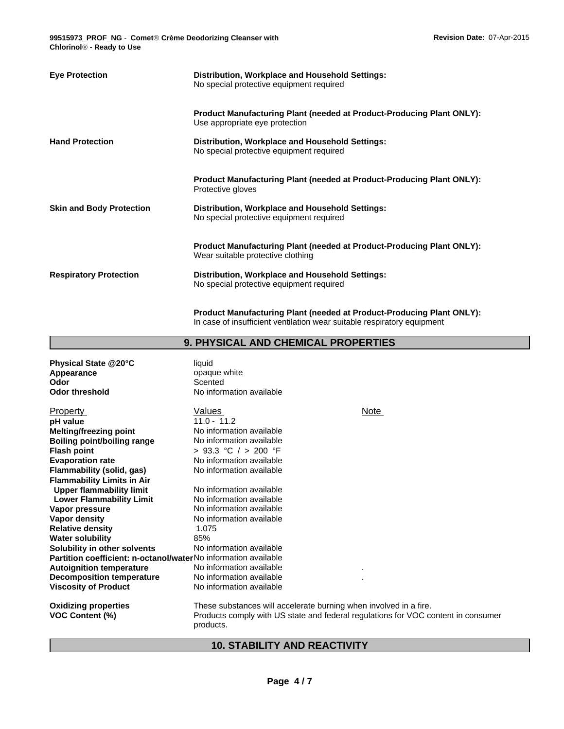**99515973\_PROF\_NG** - **CometÒCrème Deodorizing Cleanser with ChlorinolÒ - Ready to Use**

| <b>Eye Protection</b>           | Distribution, Workplace and Household Settings:<br>No special protective equipment required                                                             |  |
|---------------------------------|---------------------------------------------------------------------------------------------------------------------------------------------------------|--|
|                                 | <b>Product Manufacturing Plant (needed at Product-Producing Plant ONLY):</b><br>Use appropriate eye protection                                          |  |
| <b>Hand Protection</b>          | Distribution, Workplace and Household Settings:<br>No special protective equipment required                                                             |  |
|                                 | <b>Product Manufacturing Plant (needed at Product-Producing Plant ONLY):</b><br>Protective gloves                                                       |  |
| <b>Skin and Body Protection</b> | Distribution, Workplace and Household Settings:<br>No special protective equipment required                                                             |  |
|                                 | <b>Product Manufacturing Plant (needed at Product-Producing Plant ONLY):</b><br>Wear suitable protective clothing                                       |  |
| <b>Respiratory Protection</b>   | Distribution, Workplace and Household Settings:<br>No special protective equipment required                                                             |  |
|                                 | <b>Product Manufacturing Plant (needed at Product-Producing Plant ONLY):</b><br>In case of insufficient ventilation wear suitable respiratory equipment |  |

# **9. PHYSICAL AND CHEMICAL PROPERTIES**

| Physical State @20°C<br>Appearance<br>Odor<br><b>Odor threshold</b> | liquid<br>opaque white<br>Scented<br>No information available                                                                                                       |
|---------------------------------------------------------------------|---------------------------------------------------------------------------------------------------------------------------------------------------------------------|
| Property                                                            | Values<br>Note                                                                                                                                                      |
| pH value                                                            | $11.0 - 11.2$                                                                                                                                                       |
| <b>Melting/freezing point</b>                                       | No information available                                                                                                                                            |
| <b>Boiling point/boiling range</b>                                  | No information available                                                                                                                                            |
| <b>Flash point</b>                                                  | > 93.3 °C / > 200 °F                                                                                                                                                |
| <b>Evaporation rate</b>                                             | No information available                                                                                                                                            |
| Flammability (solid, gas)                                           | No information available                                                                                                                                            |
| <b>Flammability Limits in Air</b>                                   |                                                                                                                                                                     |
| <b>Upper flammability limit</b>                                     | No information available                                                                                                                                            |
| <b>Lower Flammability Limit</b>                                     | No information available                                                                                                                                            |
| Vapor pressure                                                      | No information available                                                                                                                                            |
| Vapor density                                                       | No information available                                                                                                                                            |
| <b>Relative density</b>                                             | 1.075                                                                                                                                                               |
| <b>Water solubility</b>                                             | 85%                                                                                                                                                                 |
| Solubility in other solvents                                        | No information available                                                                                                                                            |
| Partition coefficient: n-octanol/waterNo information available      |                                                                                                                                                                     |
| <b>Autoignition temperature</b>                                     | No information available                                                                                                                                            |
| <b>Decomposition temperature</b>                                    | No information available                                                                                                                                            |
| <b>Viscosity of Product</b>                                         | No information available                                                                                                                                            |
| <b>Oxidizing properties</b><br><b>VOC Content (%)</b>               | These substances will accelerate burning when involved in a fire.<br>Products comply with US state and federal regulations for VOC content in consumer<br>products. |

# **10. STABILITY AND REACTIVITY**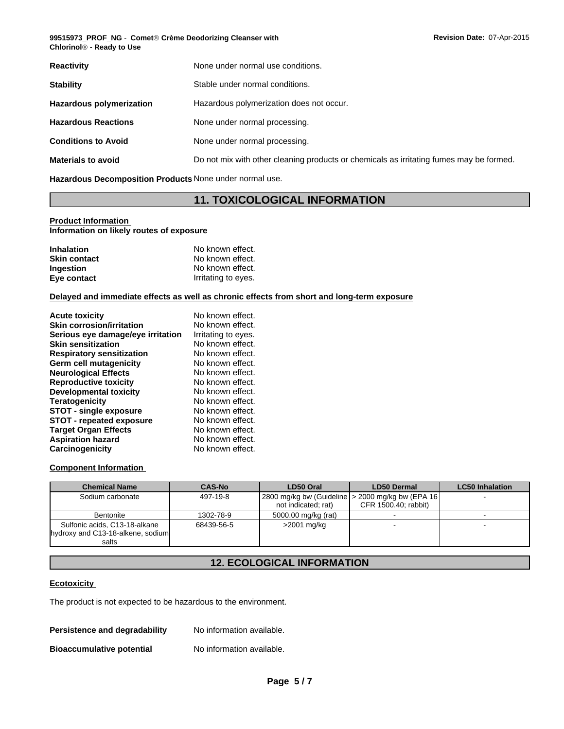**99515973\_PROF\_NG** - **CometÒCrème Deodorizing Cleanser with ChlorinolÒ - Ready to Use**

| <b>Reactivity</b>               | None under normal use conditions.                                                       |
|---------------------------------|-----------------------------------------------------------------------------------------|
| <b>Stability</b>                | Stable under normal conditions.                                                         |
| <b>Hazardous polymerization</b> | Hazardous polymerization does not occur.                                                |
| <b>Hazardous Reactions</b>      | None under normal processing.                                                           |
| <b>Conditions to Avoid</b>      | None under normal processing.                                                           |
| <b>Materials to avoid</b>       | Do not mix with other cleaning products or chemicals as irritating fumes may be formed. |
|                                 |                                                                                         |

**Hazardous Decomposition Products** None under normal use.

# **11. TOXICOLOGICAL INFORMATION**

#### **Product Information Information on likely routes of exposure**

| <b>Inhalation</b>   | No known effect.    |
|---------------------|---------------------|
| <b>Skin contact</b> | No known effect.    |
| Ingestion           | No known effect.    |
| Eye contact         | Irritating to eyes. |

#### **Delayed and immediate effects as well as chronic effects from short and long-term exposure**

| <b>Acute toxicity</b>             | No known effect.    |
|-----------------------------------|---------------------|
| <b>Skin corrosion/irritation</b>  | No known effect.    |
| Serious eye damage/eye irritation | Irritating to eyes. |
| <b>Skin sensitization</b>         | No known effect.    |
| <b>Respiratory sensitization</b>  | No known effect.    |
| <b>Germ cell mutagenicity</b>     | No known effect.    |
| <b>Neurological Effects</b>       | No known effect.    |
| <b>Reproductive toxicity</b>      | No known effect.    |
| <b>Developmental toxicity</b>     | No known effect.    |
| <b>Teratogenicity</b>             | No known effect.    |
| <b>STOT - single exposure</b>     | No known effect.    |
| <b>STOT - repeated exposure</b>   | No known effect.    |
| <b>Target Organ Effects</b>       | No known effect.    |
| <b>Aspiration hazard</b>          | No known effect.    |
| Carcinogenicity                   | No known effect.    |

#### **Component Information**

| <b>Chemical Name</b>                                                        | <b>CAS-No</b> | LD50 Oral           | <b>LD50 Dermal</b>                                                          | <b>LC50 Inhalation</b> |
|-----------------------------------------------------------------------------|---------------|---------------------|-----------------------------------------------------------------------------|------------------------|
| Sodium carbonate                                                            | 497-19-8      | not indicated; rat) | 2800 mg/kg bw (Guideline   > 2000 mg/kg bw (EPA 16)<br>CFR 1500.40; rabbit) |                        |
| Bentonite                                                                   | 1302-78-9     | 5000.00 mg/kg (rat) |                                                                             |                        |
| Sulfonic acids, C13-18-alkane<br>hydroxy and C13-18-alkene, sodium<br>salts | 68439-56-5    | $>2001$ mg/kg       |                                                                             |                        |

# **12. ECOLOGICAL INFORMATION**

#### **Ecotoxicity**

The product is not expected to be hazardous to the environment.

**Persistence and degradability** No information available.

**Bioaccumulative potential** No information available.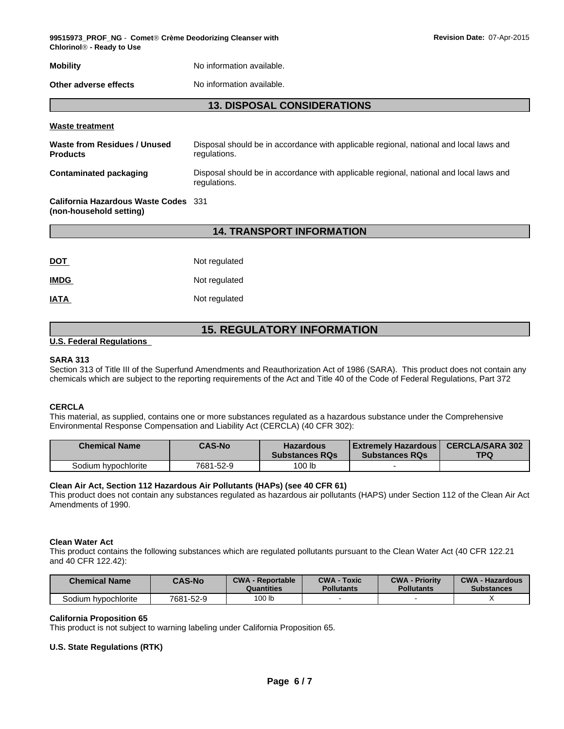**99515973\_PROF\_NG** - **CometÒCrème Deodorizing Cleanser with Revision Date:** 07-Apr-2015 **ChlorinolÒ - Ready to Use**

# **Mobility Mobility** No information available.

**Other adverse effects** No information available.

## **13. DISPOSAL CONSIDERATIONS**

#### **Waste treatment**

| Waste from Residues / Unused<br><b>Products</b>                 | Disposal should be in accordance with applicable regional, national and local laws and<br>regulations. |
|-----------------------------------------------------------------|--------------------------------------------------------------------------------------------------------|
| Contaminated packaging                                          | Disposal should be in accordance with applicable regional, national and local laws and<br>regulations. |
| California Hazardous Waste Codes 331<br>(non-household setting) |                                                                                                        |

## **14. TRANSPORT INFORMATION**

| <b>DOT</b>  | Not regulated |
|-------------|---------------|
| <b>IMDG</b> | Not regulated |
| <b>IATA</b> | Not regulated |

# **15. REGULATORY INFORMATION**

#### **U.S. Federal Regulations**

#### **SARA 313**

Section 313 of Title III of the Superfund Amendments and Reauthorization Act of 1986 (SARA). This product does not contain any chemicals which are subject to the reporting requirements of the Act and Title 40 of the Code of Federal Regulations, Part 372

#### **CERCLA**

This material, as supplied, contains one or more substances regulated as a hazardous substance under the Comprehensive Environmental Response Compensation and Liability Act (CERCLA) (40 CFR 302):

| <b>Chemical Name</b> | <b>CAS-No</b> | <b>Hazardous</b><br><b>Substances RQs</b> | Extremely Hazardous  <br><b>Substances RQs</b> | <b>CERCLA/SARA 302</b><br><b>TPQ</b> |
|----------------------|---------------|-------------------------------------------|------------------------------------------------|--------------------------------------|
| Sodium hypochlorite  | 7681-52-9     | 100 lb                                    |                                                |                                      |

#### **Clean Air Act, Section 112 Hazardous Air Pollutants (HAPs) (see 40 CFR 61)**

This product does not contain any substances regulated as hazardous air pollutants (HAPS) under Section 112 of the Clean Air Act Amendments of 1990.

#### **Clean Water Act**

This product contains the following substances which are regulated pollutants pursuant to the Clean Water Act (40 CFR 122.21 and 40 CFR 122.42):

| <b>Chemical Name</b> | <b>CAS-No</b> | <b>CWA - Reportable</b><br>Quantities | <b>CWA - Toxic</b><br><b>Pollutants</b> | <b>CWA - Priority</b><br><b>Pollutants</b> | <b>CWA - Hazardous</b><br><b>Substances</b> |
|----------------------|---------------|---------------------------------------|-----------------------------------------|--------------------------------------------|---------------------------------------------|
| Sodium hypochlorite  | 7681-52-9     | 100 lb                                |                                         |                                            |                                             |

#### **California Proposition 65**

This product is not subject to warning labeling under California Proposition 65.

#### **U.S. State Regulations (RTK)**